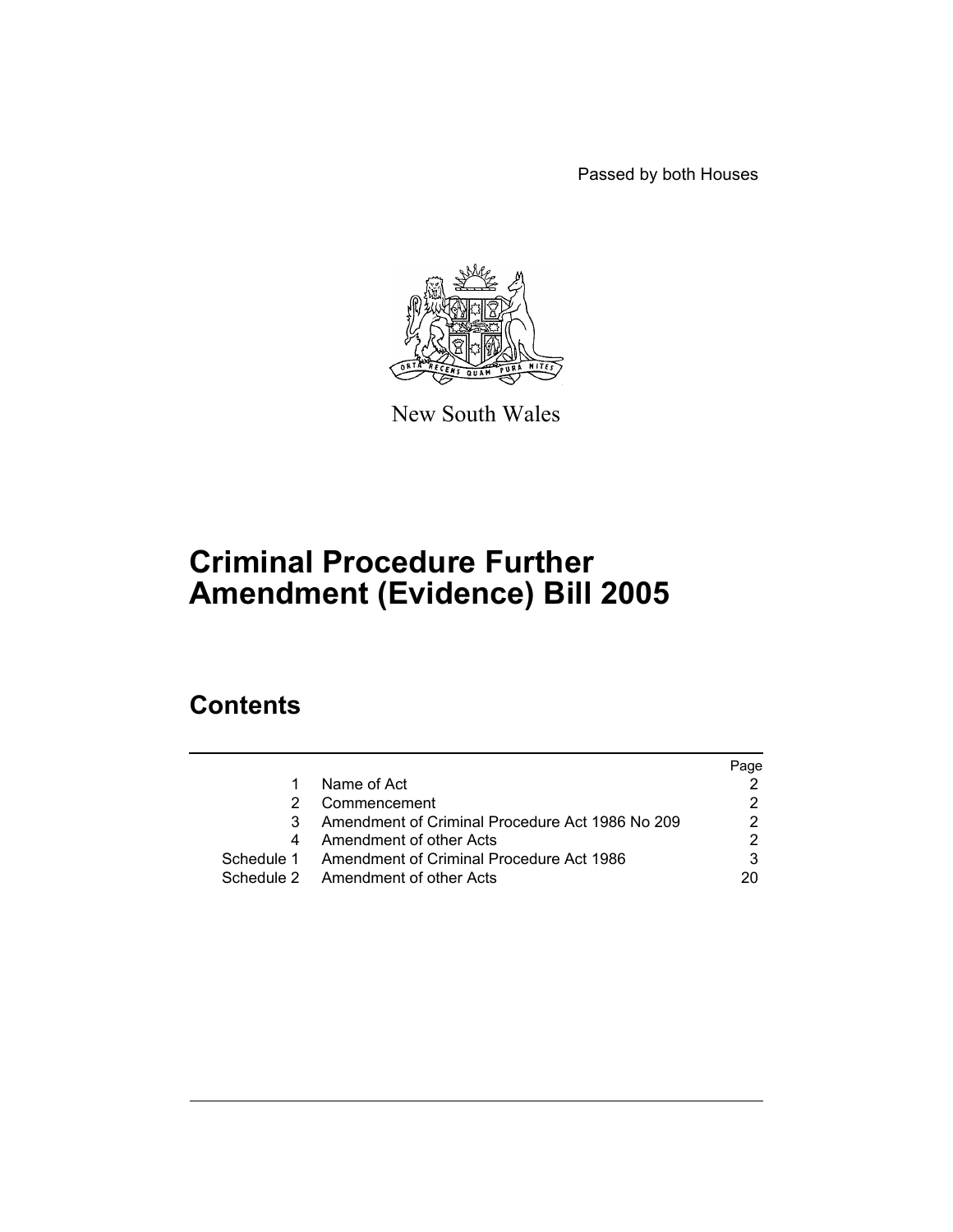Passed by both Houses



New South Wales

# **Criminal Procedure Further Amendment (Evidence) Bill 2005**

# **Contents**

|                                                     | Page |
|-----------------------------------------------------|------|
| Name of Act                                         |      |
| Commencement                                        |      |
| Amendment of Criminal Procedure Act 1986 No 209     |      |
| Amendment of other Acts                             |      |
| Schedule 1 Amendment of Criminal Procedure Act 1986 | 3    |
| Schedule 2 Amendment of other Acts                  | 20   |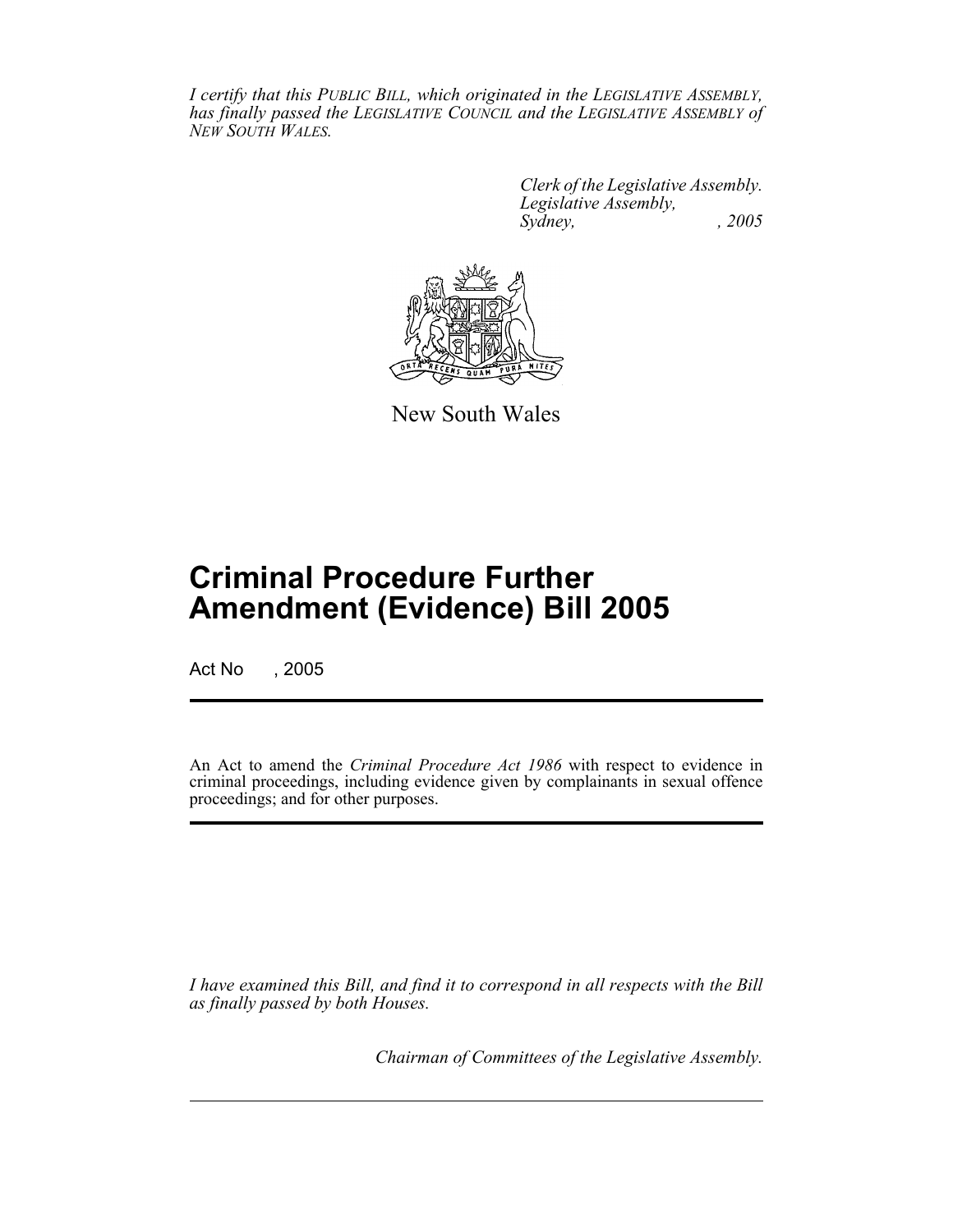*I certify that this PUBLIC BILL, which originated in the LEGISLATIVE ASSEMBLY, has finally passed the LEGISLATIVE COUNCIL and the LEGISLATIVE ASSEMBLY of NEW SOUTH WALES.*

> *Clerk of the Legislative Assembly. Legislative Assembly, Sydney, , 2005*



New South Wales

# **Criminal Procedure Further Amendment (Evidence) Bill 2005**

Act No , 2005

An Act to amend the *Criminal Procedure Act 1986* with respect to evidence in criminal proceedings, including evidence given by complainants in sexual offence proceedings; and for other purposes.

*I have examined this Bill, and find it to correspond in all respects with the Bill as finally passed by both Houses.*

*Chairman of Committees of the Legislative Assembly.*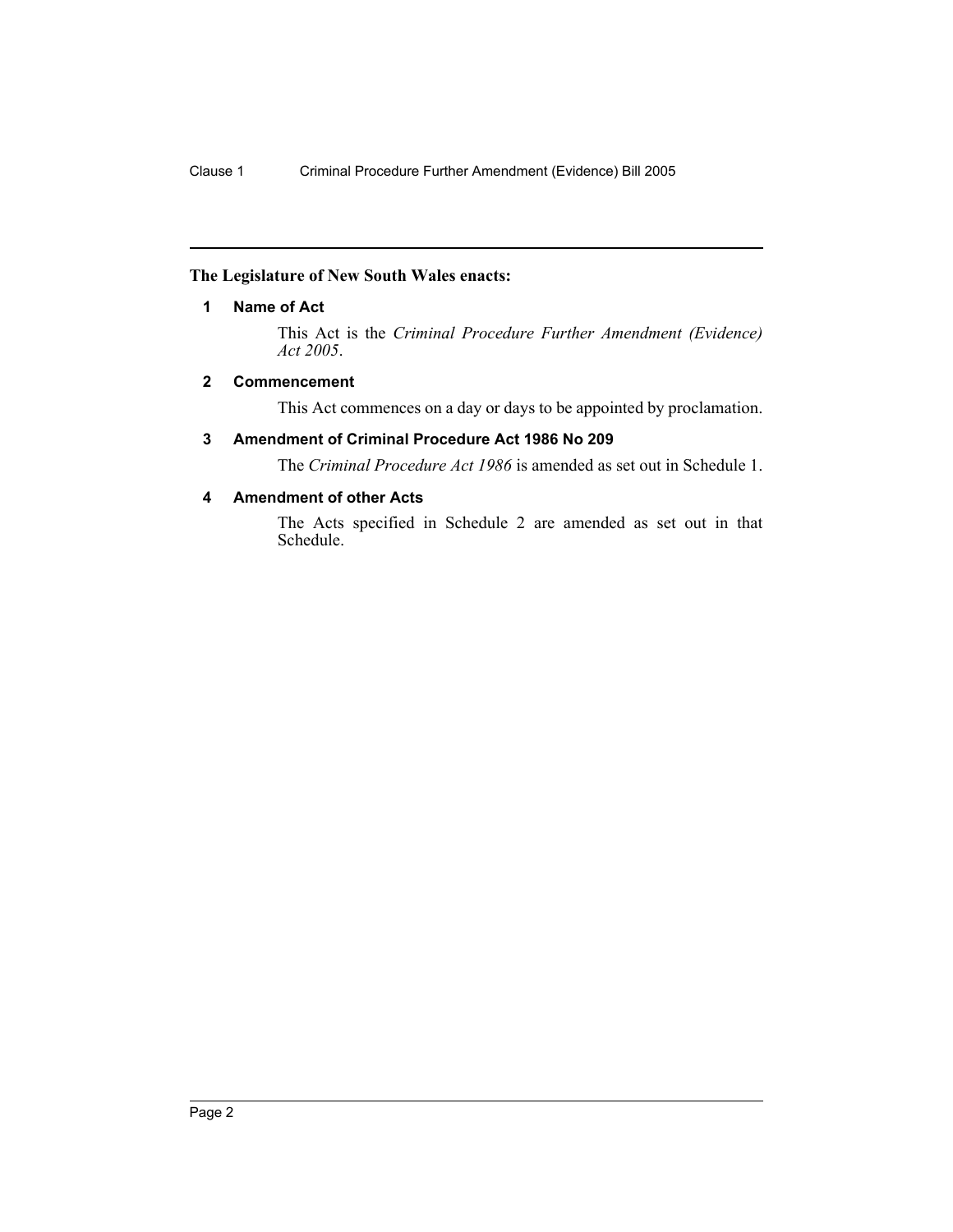# **The Legislature of New South Wales enacts:**

### **1 Name of Act**

This Act is the *Criminal Procedure Further Amendment (Evidence) Act 2005*.

# <span id="page-2-0"></span>**2 Commencement**

This Act commences on a day or days to be appointed by proclamation.

# <span id="page-2-1"></span>**3 Amendment of Criminal Procedure Act 1986 No 209**

The *Criminal Procedure Act 1986* is amended as set out in Schedule 1.

# <span id="page-2-2"></span>**4 Amendment of other Acts**

The Acts specified in Schedule 2 are amended as set out in that Schedule.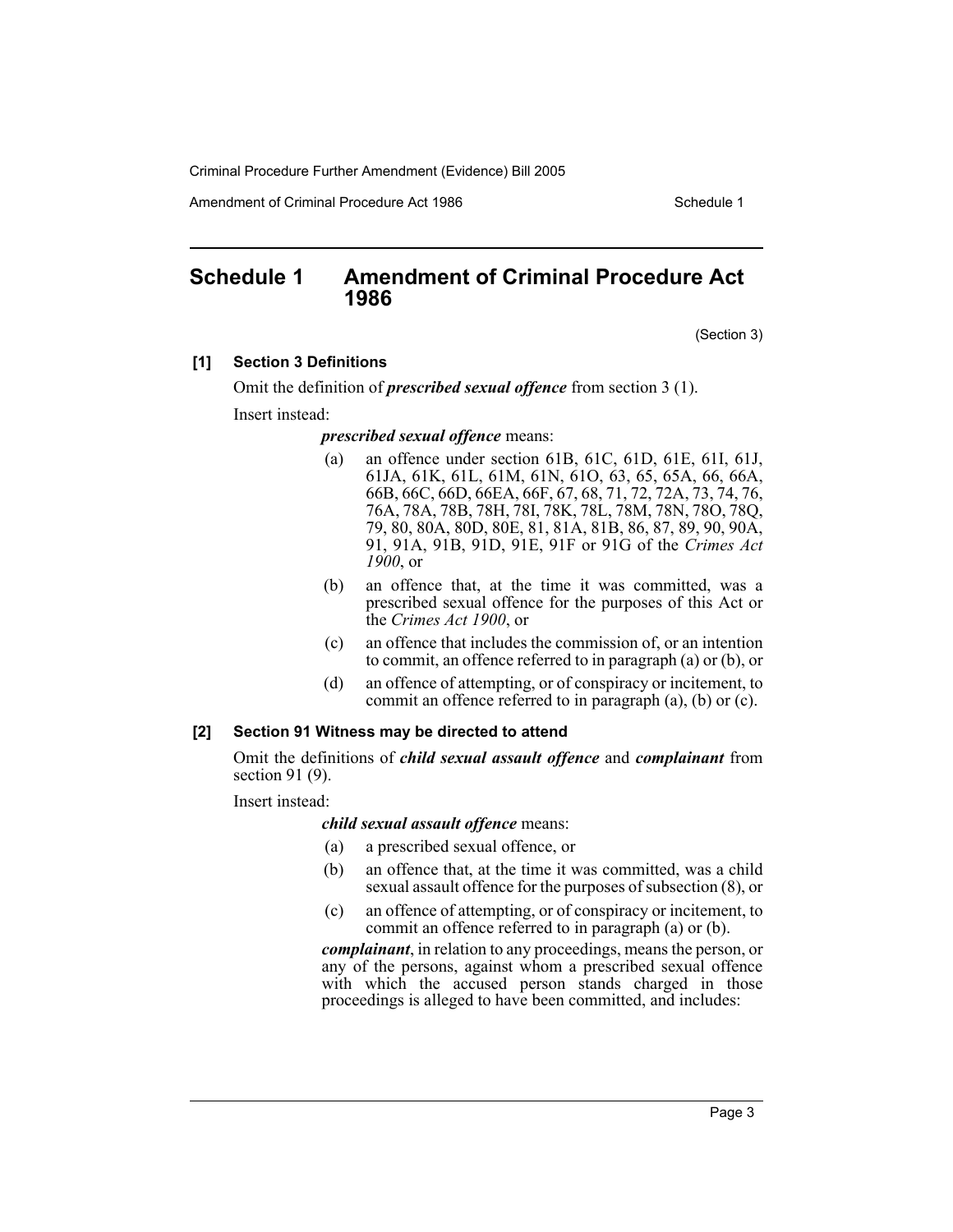Amendment of Criminal Procedure Act 1986 Schedule 1

# <span id="page-3-0"></span>**Schedule 1 Amendment of Criminal Procedure Act 1986**

(Section 3)

# **[1] Section 3 Definitions**

Omit the definition of *prescribed sexual offence* from section 3 (1).

Insert instead:

#### *prescribed sexual offence* means:

- (a) an offence under section 61B, 61C, 61D, 61E, 61I, 61J, 61JA, 61K, 61L, 61M, 61N, 61O, 63, 65, 65A, 66, 66A, 66B, 66C, 66D, 66EA, 66F, 67, 68, 71, 72, 72A, 73, 74, 76, 76A, 78A, 78B, 78H, 78I, 78K, 78L, 78M, 78N, 78O, 78Q, 79, 80, 80A, 80D, 80E, 81, 81A, 81B, 86, 87, 89, 90, 90A, 91, 91A, 91B, 91D, 91E, 91F or 91G of the *Crimes Act 1900*, or
- (b) an offence that, at the time it was committed, was a prescribed sexual offence for the purposes of this Act or the *Crimes Act 1900*, or
- (c) an offence that includes the commission of, or an intention to commit, an offence referred to in paragraph (a) or (b), or
- (d) an offence of attempting, or of conspiracy or incitement, to commit an offence referred to in paragraph (a), (b) or (c).

#### **[2] Section 91 Witness may be directed to attend**

Omit the definitions of *child sexual assault offence* and *complainant* from section 91 (9).

Insert instead:

#### *child sexual assault offence* means:

- (a) a prescribed sexual offence, or
- (b) an offence that, at the time it was committed, was a child sexual assault offence for the purposes of subsection (8), or
- (c) an offence of attempting, or of conspiracy or incitement, to commit an offence referred to in paragraph (a) or (b).

*complainant*, in relation to any proceedings, means the person, or any of the persons, against whom a prescribed sexual offence with which the accused person stands charged in those proceedings is alleged to have been committed, and includes: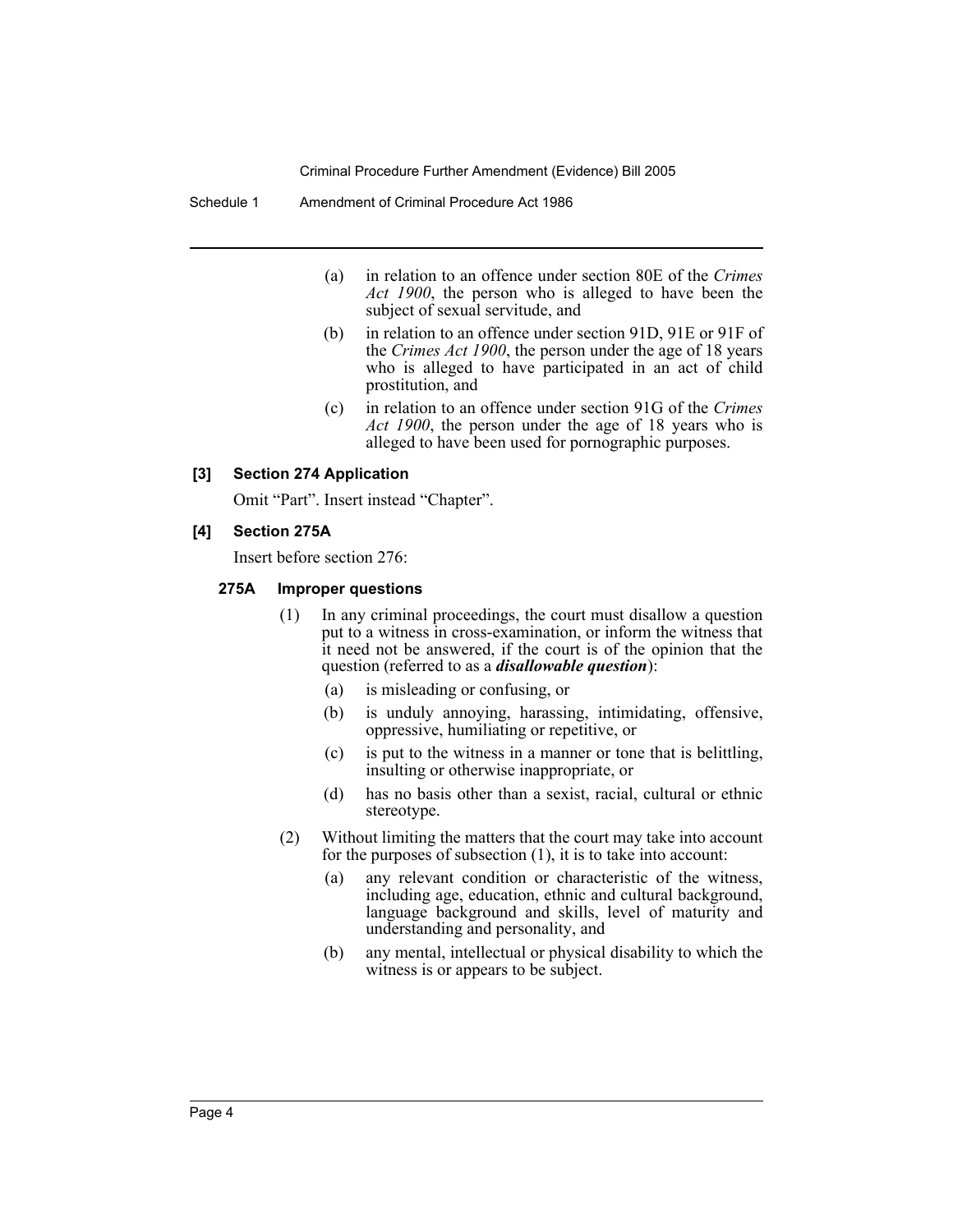#### Schedule 1 Amendment of Criminal Procedure Act 1986

- (a) in relation to an offence under section 80E of the *Crimes Act 1900*, the person who is alleged to have been the subject of sexual servitude, and
- (b) in relation to an offence under section 91D, 91E or 91F of the *Crimes Act 1900*, the person under the age of 18 years who is alleged to have participated in an act of child prostitution, and
- (c) in relation to an offence under section 91G of the *Crimes Act 1900*, the person under the age of 18 years who is alleged to have been used for pornographic purposes.

#### **[3] Section 274 Application**

Omit "Part". Insert instead "Chapter".

#### **[4] Section 275A**

Insert before section 276:

#### **275A Improper questions**

- (1) In any criminal proceedings, the court must disallow a question put to a witness in cross-examination, or inform the witness that it need not be answered, if the court is of the opinion that the question (referred to as a *disallowable question*):
	- (a) is misleading or confusing, or
	- (b) is unduly annoying, harassing, intimidating, offensive, oppressive, humiliating or repetitive, or
	- (c) is put to the witness in a manner or tone that is belittling, insulting or otherwise inappropriate, or
	- (d) has no basis other than a sexist, racial, cultural or ethnic stereotype.
- (2) Without limiting the matters that the court may take into account for the purposes of subsection (1), it is to take into account:
	- (a) any relevant condition or characteristic of the witness, including age, education, ethnic and cultural background, language background and skills, level of maturity and understanding and personality, and
	- (b) any mental, intellectual or physical disability to which the witness is or appears to be subject.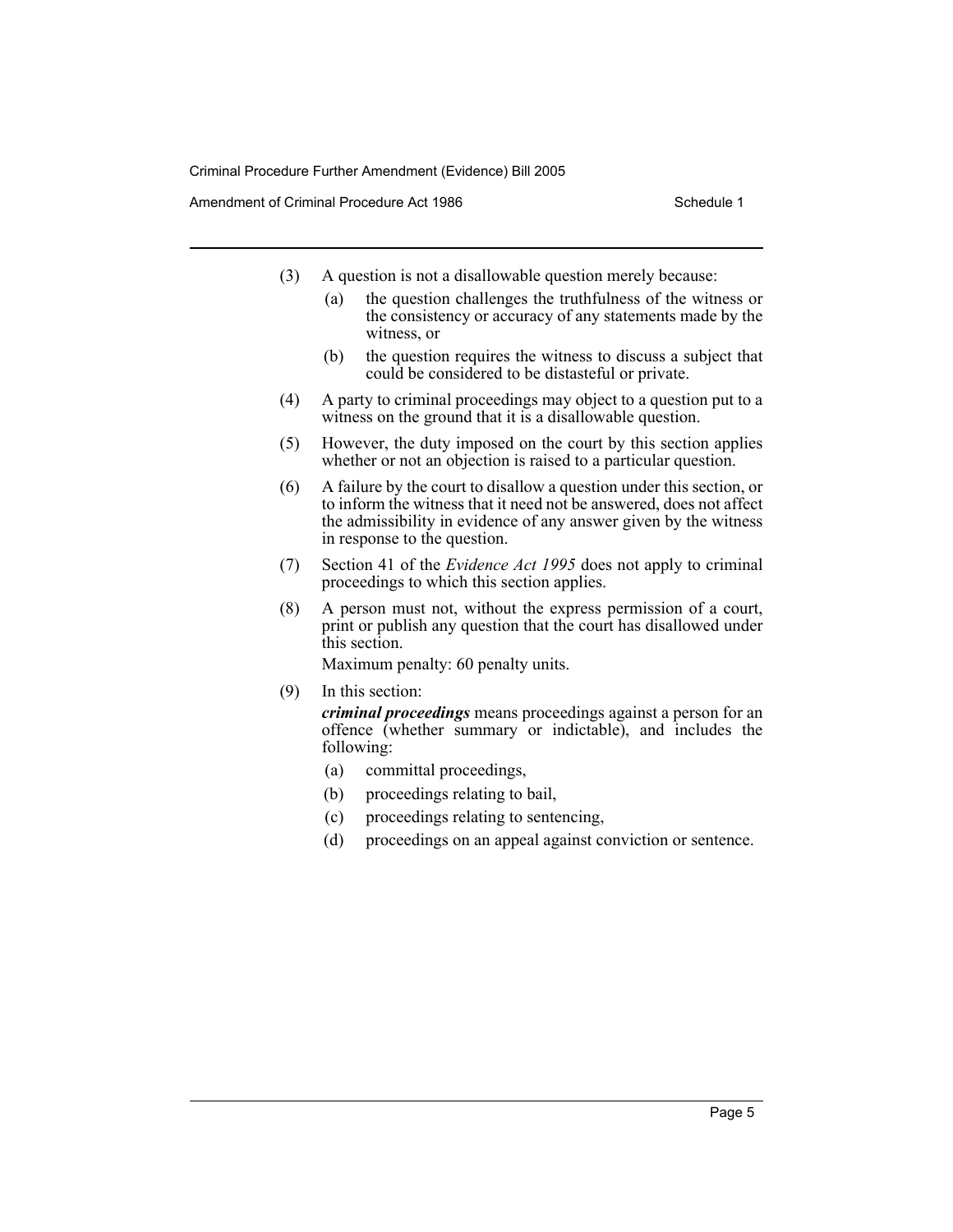Amendment of Criminal Procedure Act 1986 Schedule 1

- (3) A question is not a disallowable question merely because:
	- (a) the question challenges the truthfulness of the witness or the consistency or accuracy of any statements made by the witness, or
	- (b) the question requires the witness to discuss a subject that could be considered to be distasteful or private.
- (4) A party to criminal proceedings may object to a question put to a witness on the ground that it is a disallowable question.
- (5) However, the duty imposed on the court by this section applies whether or not an objection is raised to a particular question.
- (6) A failure by the court to disallow a question under this section, or to inform the witness that it need not be answered, does not affect the admissibility in evidence of any answer given by the witness in response to the question.
- (7) Section 41 of the *Evidence Act 1995* does not apply to criminal proceedings to which this section applies.
- (8) A person must not, without the express permission of a court, print or publish any question that the court has disallowed under this section.

Maximum penalty: 60 penalty units.

(9) In this section:

*criminal proceedings* means proceedings against a person for an offence (whether summary or indictable), and includes the following:

- (a) committal proceedings,
- (b) proceedings relating to bail,
- (c) proceedings relating to sentencing,
- (d) proceedings on an appeal against conviction or sentence.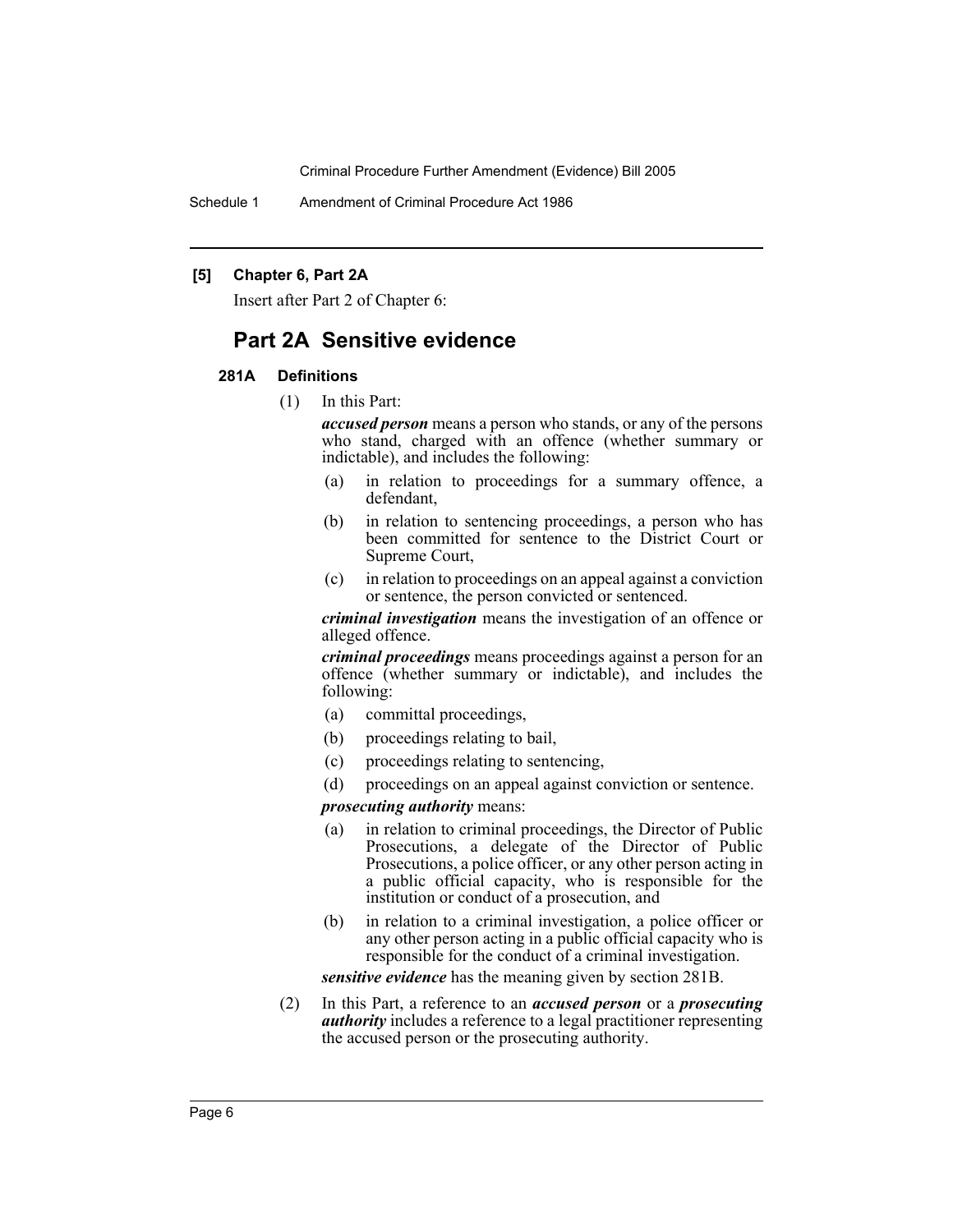Schedule 1 Amendment of Criminal Procedure Act 1986

#### **[5] Chapter 6, Part 2A**

Insert after Part 2 of Chapter 6:

# **Part 2A Sensitive evidence**

#### **281A Definitions**

(1) In this Part:

*accused person* means a person who stands, or any of the persons who stand, charged with an offence (whether summary or indictable), and includes the following:

- (a) in relation to proceedings for a summary offence, a defendant,
- (b) in relation to sentencing proceedings, a person who has been committed for sentence to the District Court or Supreme Court,
- (c) in relation to proceedings on an appeal against a conviction or sentence, the person convicted or sentenced.

*criminal investigation* means the investigation of an offence or alleged offence.

*criminal proceedings* means proceedings against a person for an offence (whether summary or indictable), and includes the following:

- (a) committal proceedings,
- (b) proceedings relating to bail,
- (c) proceedings relating to sentencing,
- (d) proceedings on an appeal against conviction or sentence.

### *prosecuting authority* means:

- (a) in relation to criminal proceedings, the Director of Public Prosecutions, a delegate of the Director of Public Prosecutions, a police officer, or any other person acting in a public official capacity, who is responsible for the institution or conduct of a prosecution, and
- (b) in relation to a criminal investigation, a police officer or any other person acting in a public official capacity who is responsible for the conduct of a criminal investigation.

*sensitive evidence* has the meaning given by section 281B.

(2) In this Part, a reference to an *accused person* or a *prosecuting authority* includes a reference to a legal practitioner representing the accused person or the prosecuting authority.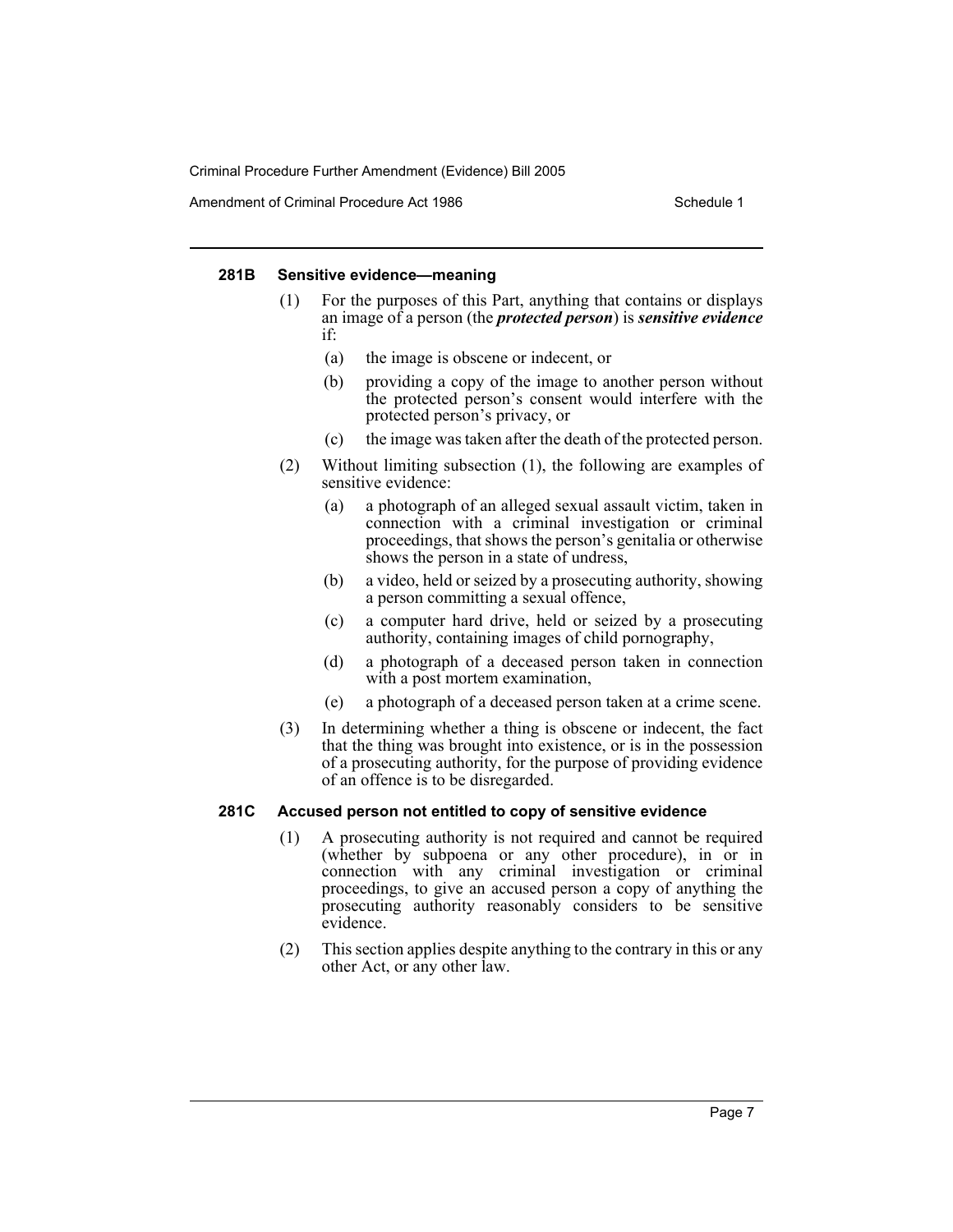Amendment of Criminal Procedure Act 1986 Schedule 1

#### **281B Sensitive evidence—meaning**

- (1) For the purposes of this Part, anything that contains or displays an image of a person (the *protected person*) is *sensitive evidence* if:
	- (a) the image is obscene or indecent, or
	- (b) providing a copy of the image to another person without the protected person's consent would interfere with the protected person's privacy, or
	- (c) the image was taken after the death of the protected person.
- (2) Without limiting subsection (1), the following are examples of sensitive evidence:
	- (a) a photograph of an alleged sexual assault victim, taken in connection with a criminal investigation or criminal proceedings, that shows the person's genitalia or otherwise shows the person in a state of undress,
	- (b) a video, held or seized by a prosecuting authority, showing a person committing a sexual offence,
	- (c) a computer hard drive, held or seized by a prosecuting authority, containing images of child pornography,
	- (d) a photograph of a deceased person taken in connection with a post mortem examination,
	- (e) a photograph of a deceased person taken at a crime scene.
- (3) In determining whether a thing is obscene or indecent, the fact that the thing was brought into existence, or is in the possession of a prosecuting authority, for the purpose of providing evidence of an offence is to be disregarded.

#### **281C Accused person not entitled to copy of sensitive evidence**

- (1) A prosecuting authority is not required and cannot be required (whether by subpoena or any other procedure), in or in connection with any criminal investigation or criminal proceedings, to give an accused person a copy of anything the prosecuting authority reasonably considers to be sensitive evidence.
- (2) This section applies despite anything to the contrary in this or any other Act, or any other law.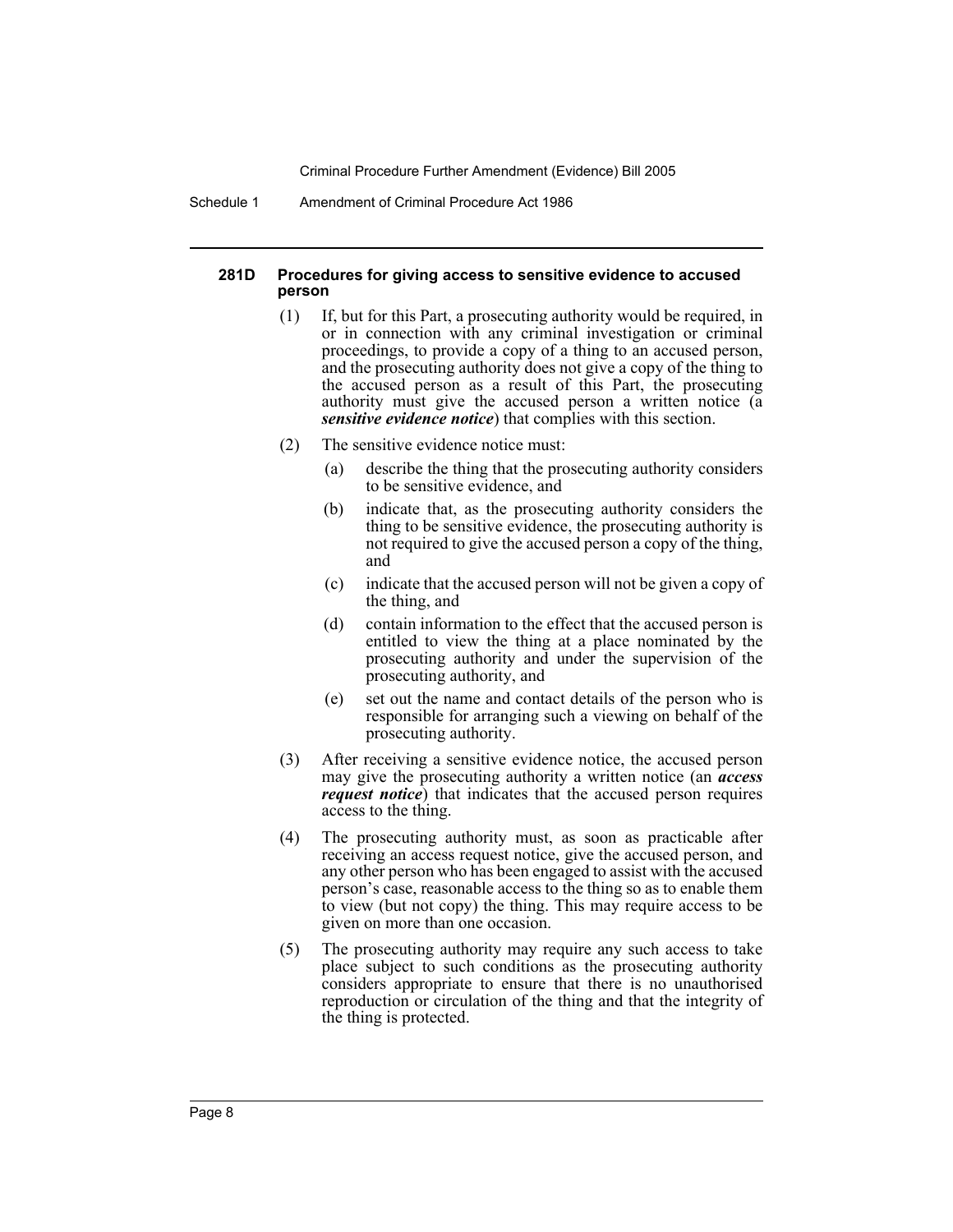Schedule 1 Amendment of Criminal Procedure Act 1986

### **281D Procedures for giving access to sensitive evidence to accused person**

- (1) If, but for this Part, a prosecuting authority would be required, in or in connection with any criminal investigation or criminal proceedings, to provide a copy of a thing to an accused person, and the prosecuting authority does not give a copy of the thing to the accused person as a result of this Part, the prosecuting authority must give the accused person a written notice (a *sensitive evidence notice*) that complies with this section.
- (2) The sensitive evidence notice must:
	- (a) describe the thing that the prosecuting authority considers to be sensitive evidence, and
	- (b) indicate that, as the prosecuting authority considers the thing to be sensitive evidence, the prosecuting authority is not required to give the accused person a copy of the thing, and
	- (c) indicate that the accused person will not be given a copy of the thing, and
	- (d) contain information to the effect that the accused person is entitled to view the thing at a place nominated by the prosecuting authority and under the supervision of the prosecuting authority, and
	- (e) set out the name and contact details of the person who is responsible for arranging such a viewing on behalf of the prosecuting authority.
- (3) After receiving a sensitive evidence notice, the accused person may give the prosecuting authority a written notice (an *access request notice*) that indicates that the accused person requires access to the thing.
- (4) The prosecuting authority must, as soon as practicable after receiving an access request notice, give the accused person, and any other person who has been engaged to assist with the accused person's case, reasonable access to the thing so as to enable them to view (but not copy) the thing. This may require access to be given on more than one occasion.
- (5) The prosecuting authority may require any such access to take place subject to such conditions as the prosecuting authority considers appropriate to ensure that there is no unauthorised reproduction or circulation of the thing and that the integrity of the thing is protected.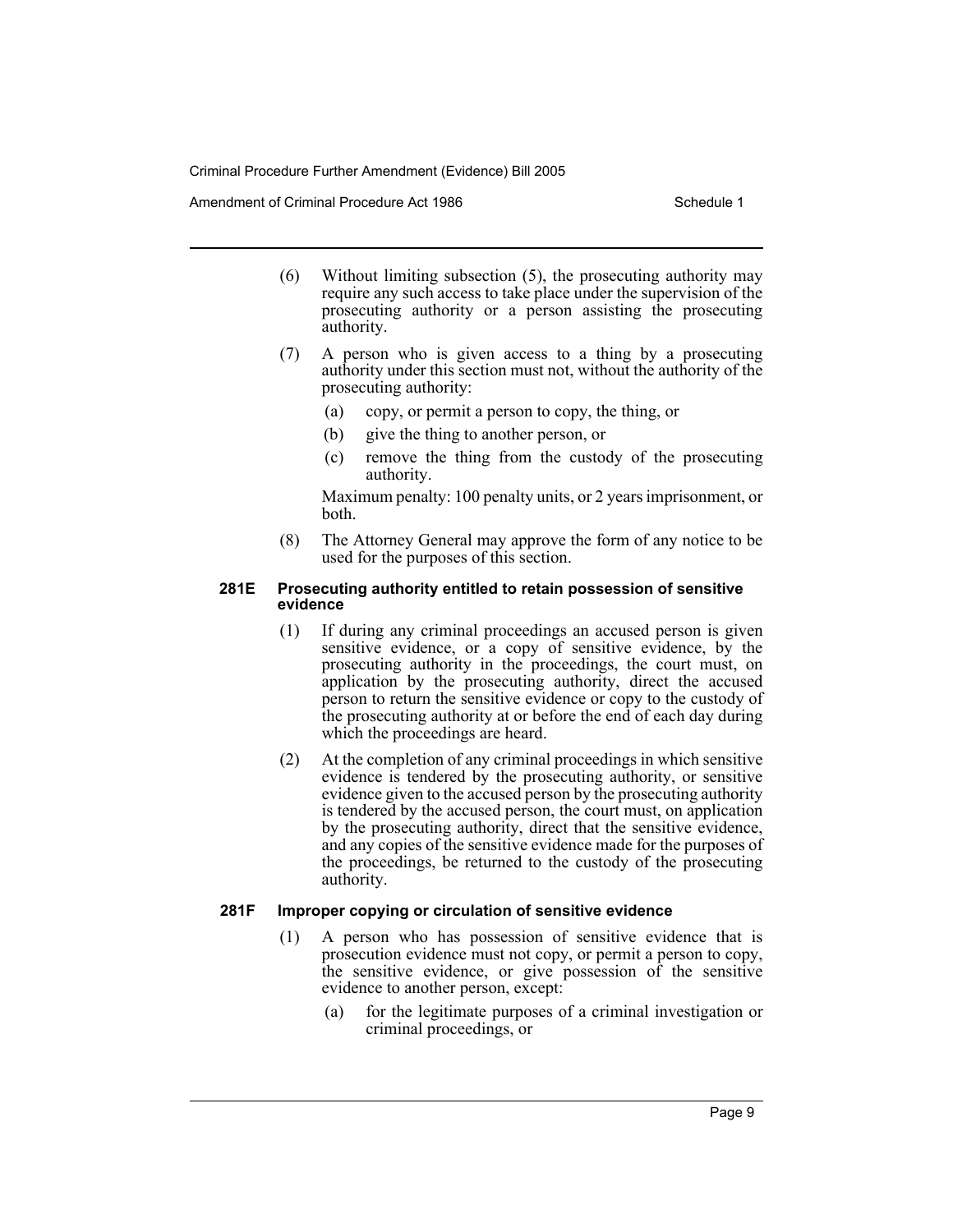Amendment of Criminal Procedure Act 1986 Schedule 1

- (6) Without limiting subsection (5), the prosecuting authority may require any such access to take place under the supervision of the prosecuting authority or a person assisting the prosecuting authority.
- (7) A person who is given access to a thing by a prosecuting authority under this section must not, without the authority of the prosecuting authority:
	- (a) copy, or permit a person to copy, the thing, or
	- (b) give the thing to another person, or
	- (c) remove the thing from the custody of the prosecuting authority.

Maximum penalty: 100 penalty units, or 2 years imprisonment, or both.

(8) The Attorney General may approve the form of any notice to be used for the purposes of this section.

#### **281E Prosecuting authority entitled to retain possession of sensitive evidence**

- (1) If during any criminal proceedings an accused person is given sensitive evidence, or a copy of sensitive evidence, by the prosecuting authority in the proceedings, the court must, on application by the prosecuting authority, direct the accused person to return the sensitive evidence or copy to the custody of the prosecuting authority at or before the end of each day during which the proceedings are heard.
- (2) At the completion of any criminal proceedings in which sensitive evidence is tendered by the prosecuting authority, or sensitive evidence given to the accused person by the prosecuting authority is tendered by the accused person, the court must, on application by the prosecuting authority, direct that the sensitive evidence, and any copies of the sensitive evidence made for the purposes of the proceedings, be returned to the custody of the prosecuting authority.

# **281F Improper copying or circulation of sensitive evidence**

- (1) A person who has possession of sensitive evidence that is prosecution evidence must not copy, or permit a person to copy, the sensitive evidence, or give possession of the sensitive evidence to another person, except:
	- (a) for the legitimate purposes of a criminal investigation or criminal proceedings, or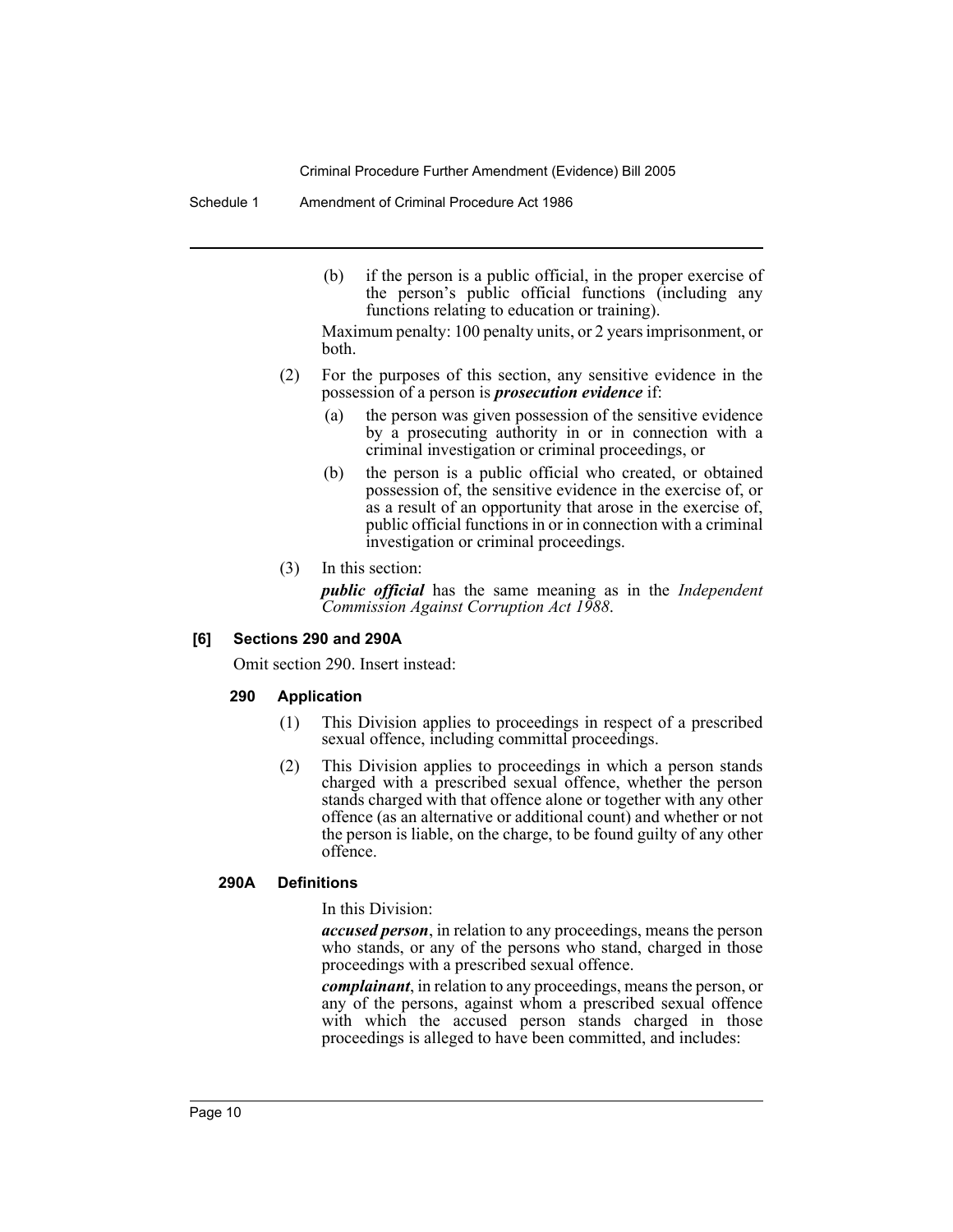Schedule 1 Amendment of Criminal Procedure Act 1986

(b) if the person is a public official, in the proper exercise of the person's public official functions (including any functions relating to education or training).

Maximum penalty: 100 penalty units, or 2 years imprisonment, or both.

- (2) For the purposes of this section, any sensitive evidence in the possession of a person is *prosecution evidence* if:
	- (a) the person was given possession of the sensitive evidence by a prosecuting authority in or in connection with a criminal investigation or criminal proceedings, or
	- (b) the person is a public official who created, or obtained possession of, the sensitive evidence in the exercise of, or as a result of an opportunity that arose in the exercise of, public official functions in or in connection with a criminal investigation or criminal proceedings.
- (3) In this section:

*public official* has the same meaning as in the *Independent Commission Against Corruption Act 1988*.

#### **[6] Sections 290 and 290A**

Omit section 290. Insert instead:

# **290 Application**

- (1) This Division applies to proceedings in respect of a prescribed sexual offence, including committal proceedings.
- (2) This Division applies to proceedings in which a person stands charged with a prescribed sexual offence, whether the person stands charged with that offence alone or together with any other offence (as an alternative or additional count) and whether or not the person is liable, on the charge, to be found guilty of any other offence.

#### **290A Definitions**

In this Division:

*accused person*, in relation to any proceedings, means the person who stands, or any of the persons who stand, charged in those proceedings with a prescribed sexual offence.

*complainant*, in relation to any proceedings, means the person, or any of the persons, against whom a prescribed sexual offence with which the accused person stands charged in those proceedings is alleged to have been committed, and includes: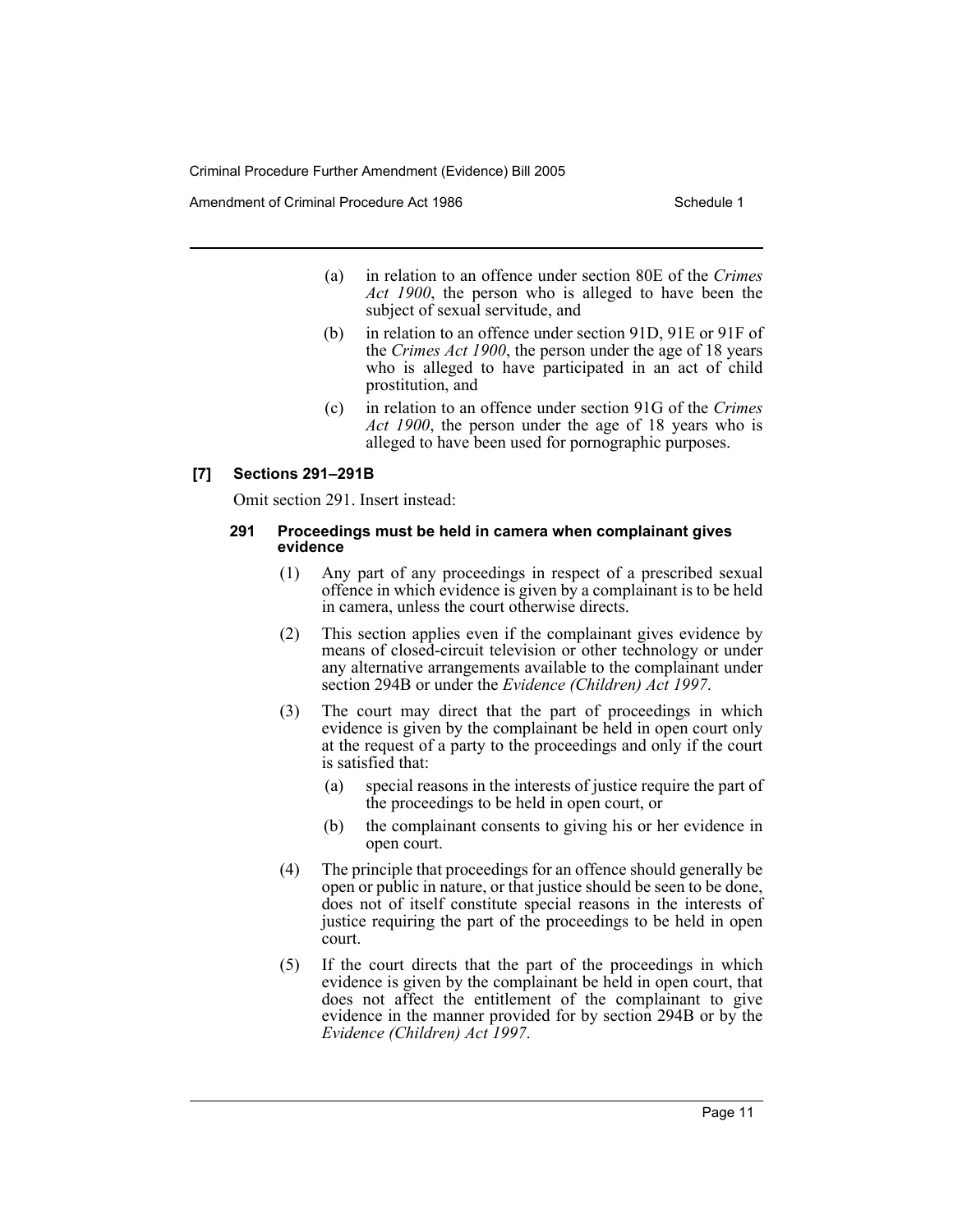Amendment of Criminal Procedure Act 1986 Schedule 1

- (a) in relation to an offence under section 80E of the *Crimes Act 1900*, the person who is alleged to have been the subject of sexual servitude, and
- (b) in relation to an offence under section 91D, 91E or 91F of the *Crimes Act 1900*, the person under the age of 18 years who is alleged to have participated in an act of child prostitution, and
- (c) in relation to an offence under section 91G of the *Crimes Act 1900*, the person under the age of 18 years who is alleged to have been used for pornographic purposes.

# **[7] Sections 291–291B**

Omit section 291. Insert instead:

### **291 Proceedings must be held in camera when complainant gives evidence**

- (1) Any part of any proceedings in respect of a prescribed sexual offence in which evidence is given by a complainant is to be held in camera, unless the court otherwise directs.
- (2) This section applies even if the complainant gives evidence by means of closed-circuit television or other technology or under any alternative arrangements available to the complainant under section 294B or under the *Evidence (Children) Act 1997*.
- (3) The court may direct that the part of proceedings in which evidence is given by the complainant be held in open court only at the request of a party to the proceedings and only if the court is satisfied that:
	- (a) special reasons in the interests of justice require the part of the proceedings to be held in open court, or
	- (b) the complainant consents to giving his or her evidence in open court.
- (4) The principle that proceedings for an offence should generally be open or public in nature, or that justice should be seen to be done, does not of itself constitute special reasons in the interests of justice requiring the part of the proceedings to be held in open court.
- (5) If the court directs that the part of the proceedings in which evidence is given by the complainant be held in open court, that does not affect the entitlement of the complainant to give evidence in the manner provided for by section 294B or by the *Evidence (Children) Act 1997*.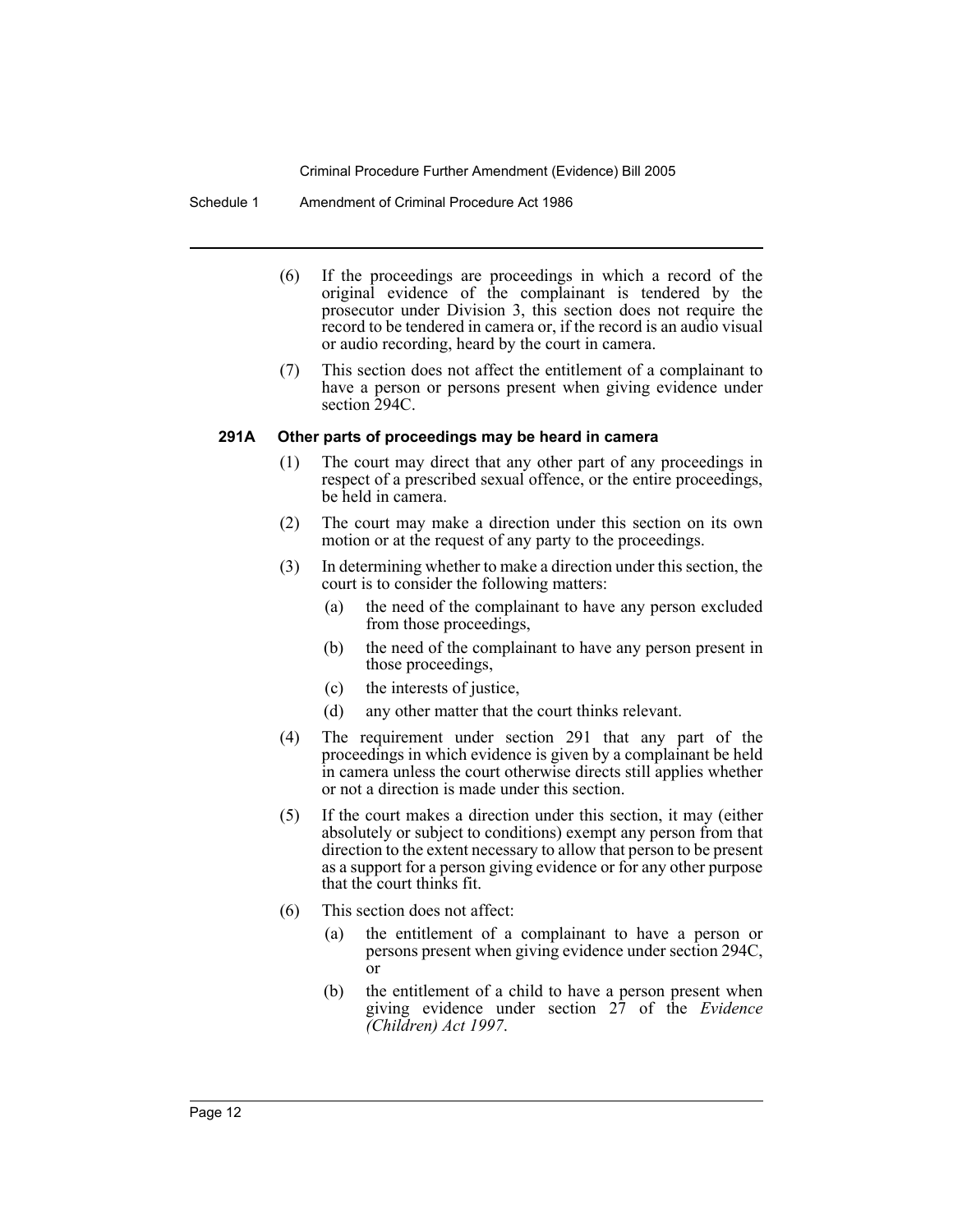Schedule 1 Amendment of Criminal Procedure Act 1986

- (6) If the proceedings are proceedings in which a record of the original evidence of the complainant is tendered by the prosecutor under Division 3, this section does not require the record to be tendered in camera or, if the record is an audio visual or audio recording, heard by the court in camera.
- (7) This section does not affect the entitlement of a complainant to have a person or persons present when giving evidence under section 294C.

#### **291A Other parts of proceedings may be heard in camera**

- (1) The court may direct that any other part of any proceedings in respect of a prescribed sexual offence, or the entire proceedings, be held in camera.
- (2) The court may make a direction under this section on its own motion or at the request of any party to the proceedings.
- (3) In determining whether to make a direction under this section, the court is to consider the following matters:
	- (a) the need of the complainant to have any person excluded from those proceedings,
	- (b) the need of the complainant to have any person present in those proceedings,
	- (c) the interests of justice,
	- (d) any other matter that the court thinks relevant.
- (4) The requirement under section 291 that any part of the proceedings in which evidence is given by a complainant be held in camera unless the court otherwise directs still applies whether or not a direction is made under this section.
- (5) If the court makes a direction under this section, it may (either absolutely or subject to conditions) exempt any person from that direction to the extent necessary to allow that person to be present as a support for a person giving evidence or for any other purpose that the court thinks fit.
- (6) This section does not affect:
	- (a) the entitlement of a complainant to have a person or persons present when giving evidence under section 294C, or
	- (b) the entitlement of a child to have a person present when giving evidence under section 27 of the *Evidence (Children) Act 1997*.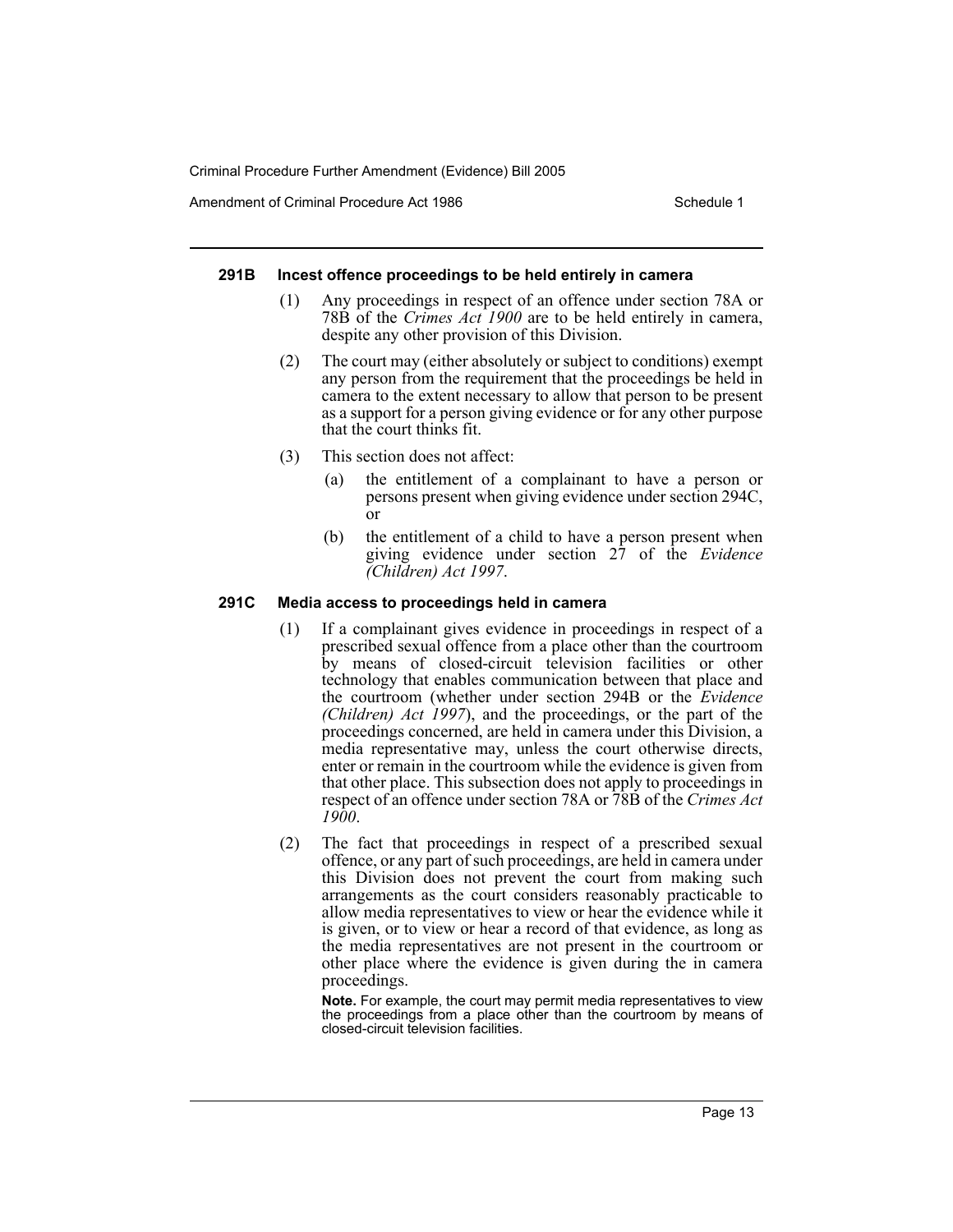Amendment of Criminal Procedure Act 1986 Schedule 1

### **291B Incest offence proceedings to be held entirely in camera**

- (1) Any proceedings in respect of an offence under section 78A or 78B of the *Crimes Act 1900* are to be held entirely in camera, despite any other provision of this Division.
- (2) The court may (either absolutely or subject to conditions) exempt any person from the requirement that the proceedings be held in camera to the extent necessary to allow that person to be present as a support for a person giving evidence or for any other purpose that the court thinks fit.
- (3) This section does not affect:
	- (a) the entitlement of a complainant to have a person or persons present when giving evidence under section 294C, or
	- (b) the entitlement of a child to have a person present when giving evidence under section 27 of the *Evidence (Children) Act 1997*.

# **291C Media access to proceedings held in camera**

- (1) If a complainant gives evidence in proceedings in respect of a prescribed sexual offence from a place other than the courtroom by means of closed-circuit television facilities or other technology that enables communication between that place and the courtroom (whether under section 294B or the *Evidence (Children) Act 1997*), and the proceedings, or the part of the proceedings concerned, are held in camera under this Division, a media representative may, unless the court otherwise directs, enter or remain in the courtroom while the evidence is given from that other place. This subsection does not apply to proceedings in respect of an offence under section 78A or 78B of the *Crimes Act 1900*.
- (2) The fact that proceedings in respect of a prescribed sexual offence, or any part of such proceedings, are held in camera under this Division does not prevent the court from making such arrangements as the court considers reasonably practicable to allow media representatives to view or hear the evidence while it is given, or to view or hear a record of that evidence, as long as the media representatives are not present in the courtroom or other place where the evidence is given during the in camera proceedings.

**Note.** For example, the court may permit media representatives to view the proceedings from a place other than the courtroom by means of closed-circuit television facilities.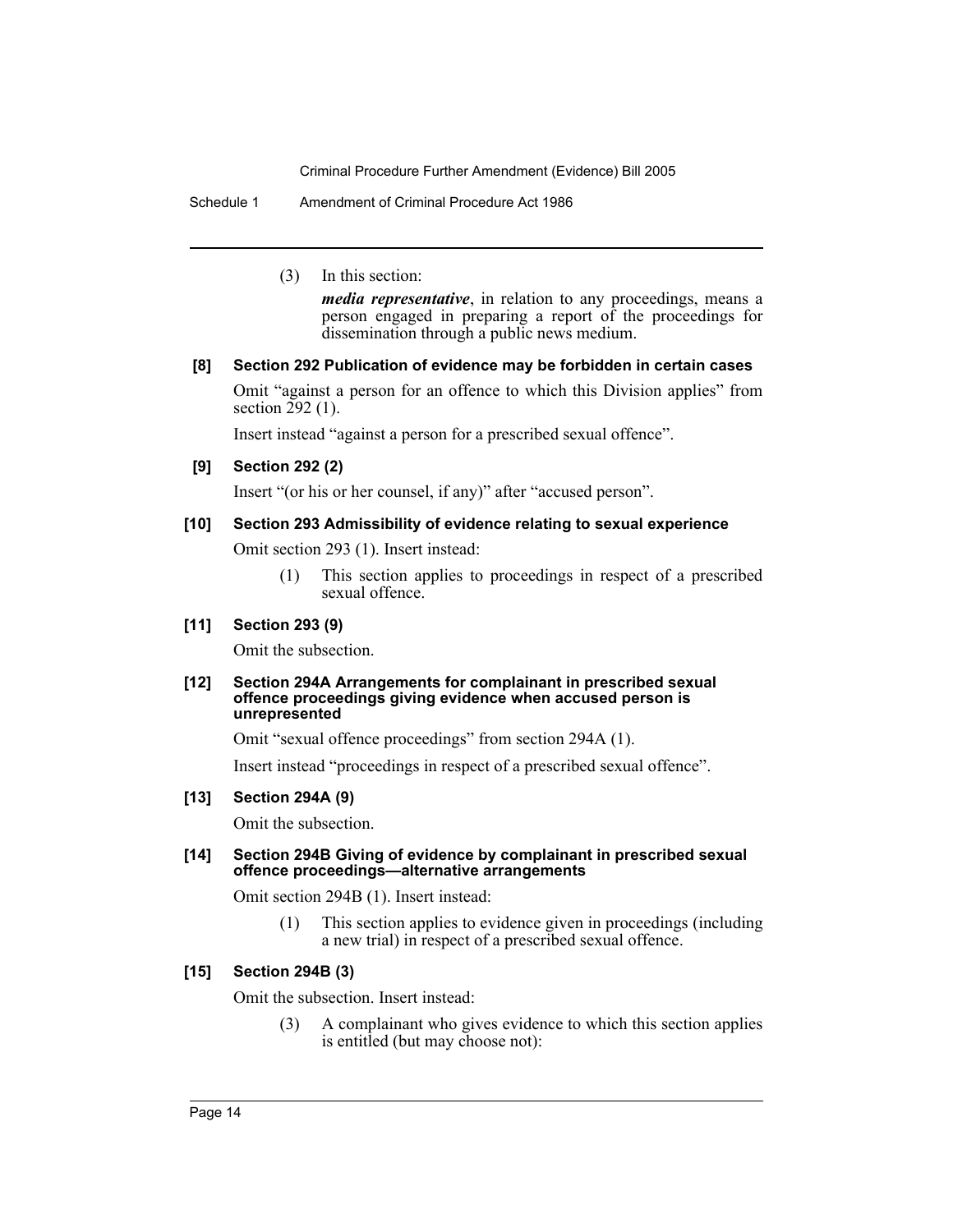Schedule 1 Amendment of Criminal Procedure Act 1986

(3) In this section:

*media representative*, in relation to any proceedings, means a person engaged in preparing a report of the proceedings for dissemination through a public news medium.

# **[8] Section 292 Publication of evidence may be forbidden in certain cases**

Omit "against a person for an offence to which this Division applies" from section  $292$  (1).

Insert instead "against a person for a prescribed sexual offence".

# **[9] Section 292 (2)**

Insert "(or his or her counsel, if any)" after "accused person".

# **[10] Section 293 Admissibility of evidence relating to sexual experience**

Omit section 293 (1). Insert instead:

(1) This section applies to proceedings in respect of a prescribed sexual offence.

### **[11] Section 293 (9)**

Omit the subsection.

#### **[12] Section 294A Arrangements for complainant in prescribed sexual offence proceedings giving evidence when accused person is unrepresented**

Omit "sexual offence proceedings" from section 294A (1).

Insert instead "proceedings in respect of a prescribed sexual offence".

# **[13] Section 294A (9)**

Omit the subsection.

# **[14] Section 294B Giving of evidence by complainant in prescribed sexual offence proceedings—alternative arrangements**

Omit section 294B (1). Insert instead:

(1) This section applies to evidence given in proceedings (including a new trial) in respect of a prescribed sexual offence.

# **[15] Section 294B (3)**

Omit the subsection. Insert instead:

(3) A complainant who gives evidence to which this section applies is entitled (but may choose not):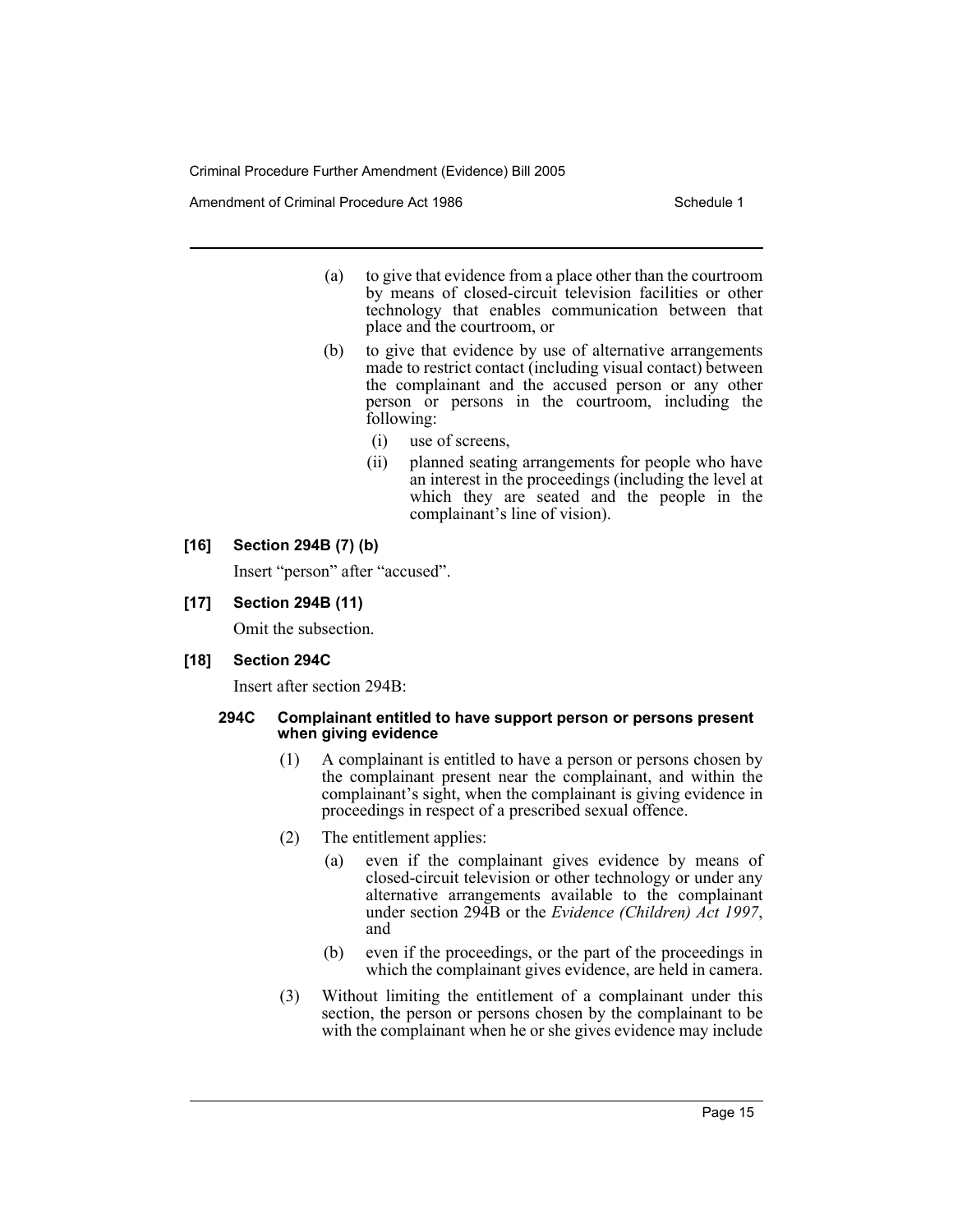Amendment of Criminal Procedure Act 1986 Schedule 1

- (a) to give that evidence from a place other than the courtroom by means of closed-circuit television facilities or other technology that enables communication between that place and the courtroom, or
- (b) to give that evidence by use of alternative arrangements made to restrict contact (including visual contact) between the complainant and the accused person or any other person or persons in the courtroom, including the following:
	- (i) use of screens,
	- (ii) planned seating arrangements for people who have an interest in the proceedings (including the level at which they are seated and the people in the complainant's line of vision).
- **[16] Section 294B (7) (b)**

Insert "person" after "accused".

**[17] Section 294B (11)**

Omit the subsection.

**[18] Section 294C**

Insert after section 294B:

#### **294C Complainant entitled to have support person or persons present when giving evidence**

- (1) A complainant is entitled to have a person or persons chosen by the complainant present near the complainant, and within the complainant's sight, when the complainant is giving evidence in proceedings in respect of a prescribed sexual offence.
- (2) The entitlement applies:
	- (a) even if the complainant gives evidence by means of closed-circuit television or other technology or under any alternative arrangements available to the complainant under section 294B or the *Evidence (Children) Act 1997*, and
	- (b) even if the proceedings, or the part of the proceedings in which the complainant gives evidence, are held in camera.
- (3) Without limiting the entitlement of a complainant under this section, the person or persons chosen by the complainant to be with the complainant when he or she gives evidence may include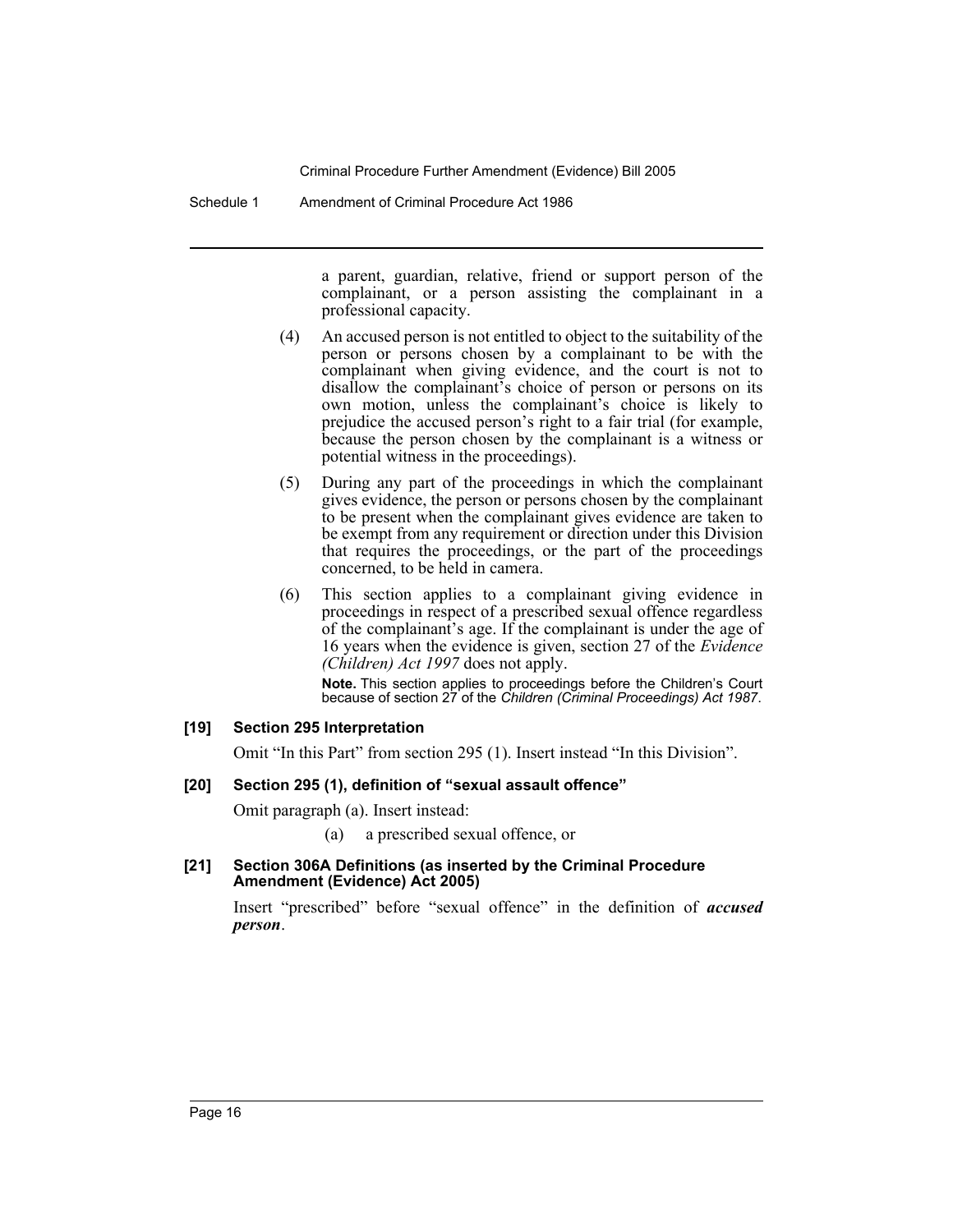Schedule 1 Amendment of Criminal Procedure Act 1986

a parent, guardian, relative, friend or support person of the complainant, or a person assisting the complainant in a professional capacity.

- (4) An accused person is not entitled to object to the suitability of the person or persons chosen by a complainant to be with the complainant when giving evidence, and the court is not to disallow the complainant's choice of person or persons on its own motion, unless the complainant's choice is likely to prejudice the accused person's right to a fair trial (for example, because the person chosen by the complainant is a witness or potential witness in the proceedings).
- (5) During any part of the proceedings in which the complainant gives evidence, the person or persons chosen by the complainant to be present when the complainant gives evidence are taken to be exempt from any requirement or direction under this Division that requires the proceedings, or the part of the proceedings concerned, to be held in camera.
- (6) This section applies to a complainant giving evidence in proceedings in respect of a prescribed sexual offence regardless of the complainant's age. If the complainant is under the age of 16 years when the evidence is given, section 27 of the *Evidence (Children) Act 1997* does not apply.

**Note.** This section applies to proceedings before the Children's Court because of section 27 of the *Children (Criminal Proceedings) Act 1987*.

# **[19] Section 295 Interpretation**

Omit "In this Part" from section 295 (1). Insert instead "In this Division".

# **[20] Section 295 (1), definition of "sexual assault offence"**

Omit paragraph (a). Insert instead:

- (a) a prescribed sexual offence, or
- **[21] Section 306A Definitions (as inserted by the Criminal Procedure Amendment (Evidence) Act 2005)**

Insert "prescribed" before "sexual offence" in the definition of *accused person*.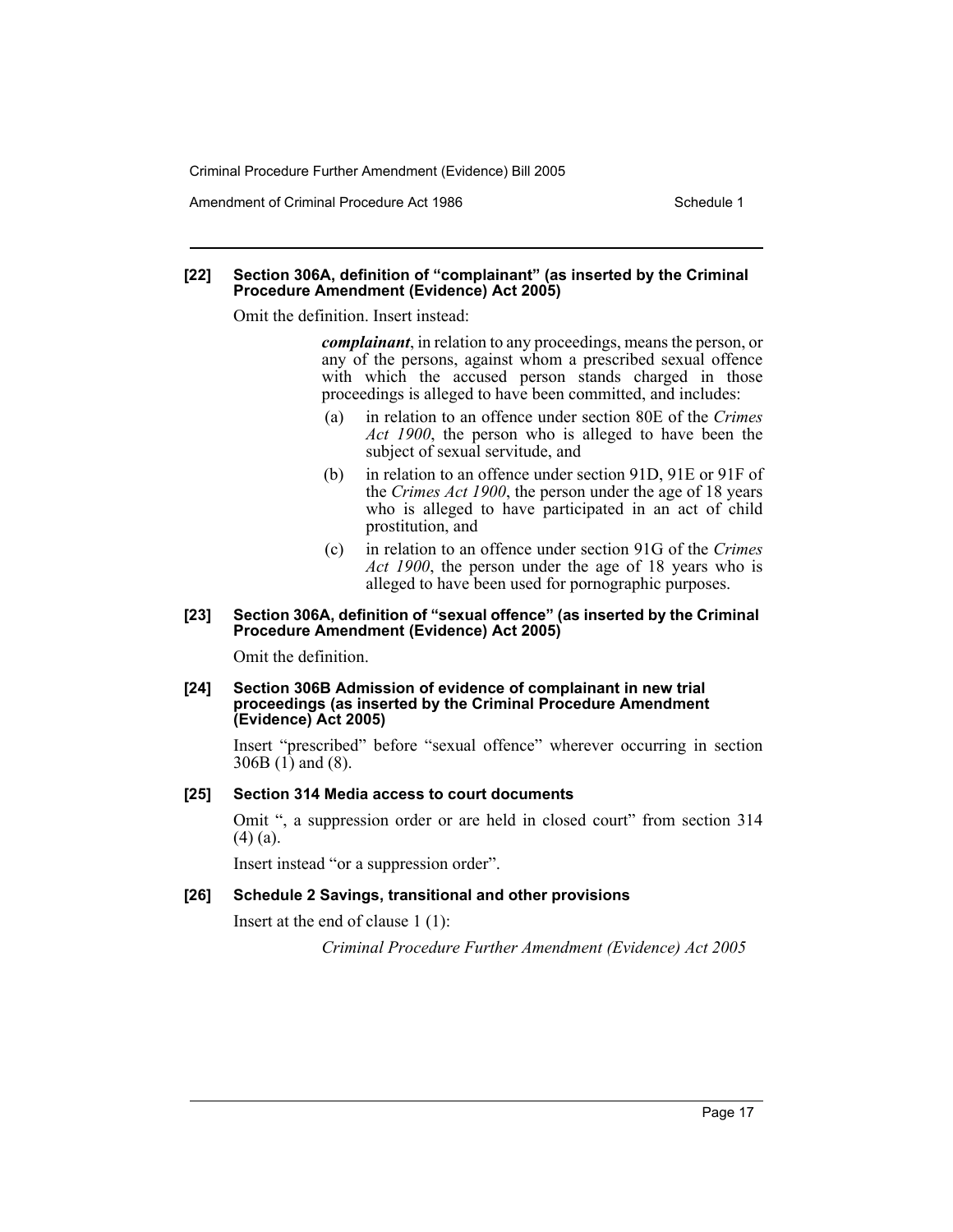Amendment of Criminal Procedure Act 1986 Schedule 1

#### **[22] Section 306A, definition of "complainant" (as inserted by the Criminal Procedure Amendment (Evidence) Act 2005)**

Omit the definition. Insert instead:

*complainant*, in relation to any proceedings, means the person, or any of the persons, against whom a prescribed sexual offence with which the accused person stands charged in those proceedings is alleged to have been committed, and includes:

- (a) in relation to an offence under section 80E of the *Crimes Act 1900*, the person who is alleged to have been the subject of sexual servitude, and
- (b) in relation to an offence under section 91D, 91E or 91F of the *Crimes Act 1900*, the person under the age of 18 years who is alleged to have participated in an act of child prostitution, and
- (c) in relation to an offence under section 91G of the *Crimes Act 1900*, the person under the age of 18 years who is alleged to have been used for pornographic purposes.

#### **[23] Section 306A, definition of "sexual offence" (as inserted by the Criminal Procedure Amendment (Evidence) Act 2005)**

Omit the definition.

#### **[24] Section 306B Admission of evidence of complainant in new trial proceedings (as inserted by the Criminal Procedure Amendment (Evidence) Act 2005)**

Insert "prescribed" before "sexual offence" wherever occurring in section 306B (1) and (8).

#### **[25] Section 314 Media access to court documents**

Omit ", a suppression order or are held in closed court" from section 314  $(4)$  (a).

Insert instead "or a suppression order".

#### **[26] Schedule 2 Savings, transitional and other provisions**

Insert at the end of clause 1 (1):

*Criminal Procedure Further Amendment (Evidence) Act 2005*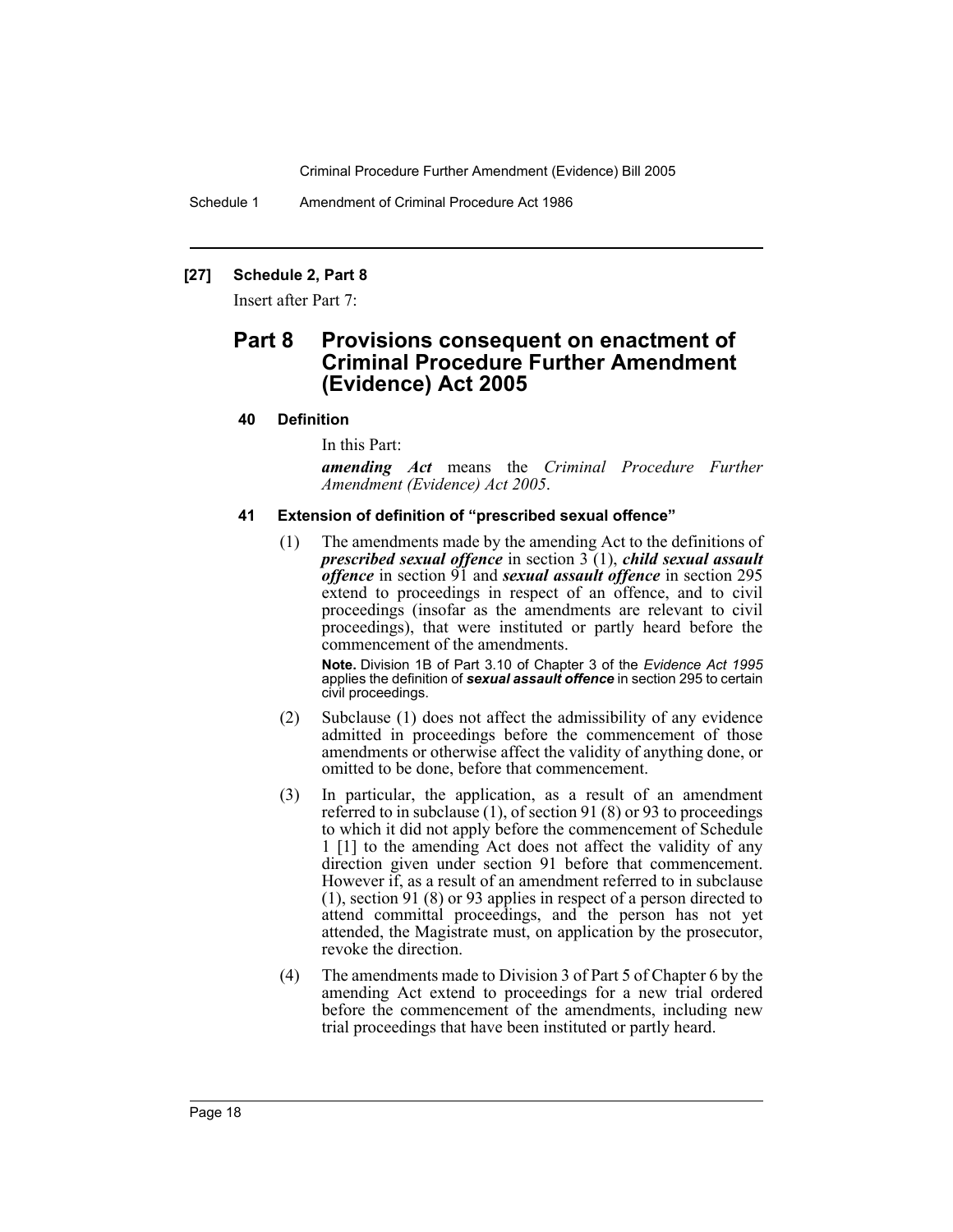Schedule 1 Amendment of Criminal Procedure Act 1986

# **[27] Schedule 2, Part 8**

Insert after Part 7:

# **Part 8 Provisions consequent on enactment of Criminal Procedure Further Amendment (Evidence) Act 2005**

# **40 Definition**

In this Part:

*amending Act* means the *Criminal Procedure Further Amendment (Evidence) Act 2005*.

#### **41 Extension of definition of "prescribed sexual offence"**

(1) The amendments made by the amending Act to the definitions of *prescribed sexual offence* in section 3 (1), *child sexual assault offence* in section 91 and *sexual assault offence* in section 295 extend to proceedings in respect of an offence, and to civil proceedings (insofar as the amendments are relevant to civil proceedings), that were instituted or partly heard before the commencement of the amendments.

**Note.** Division 1B of Part 3.10 of Chapter 3 of the *Evidence Act 1995* applies the definition of *sexual assault offence* in section 295 to certain civil proceedings.

- (2) Subclause (1) does not affect the admissibility of any evidence admitted in proceedings before the commencement of those amendments or otherwise affect the validity of anything done, or omitted to be done, before that commencement.
- (3) In particular, the application, as a result of an amendment referred to in subclause  $(1)$ , of section 91 $(8)$  or 93 to proceedings to which it did not apply before the commencement of Schedule 1 [1] to the amending Act does not affect the validity of any direction given under section 91 before that commencement. However if, as a result of an amendment referred to in subclause (1), section 91 (8) or 93 applies in respect of a person directed to attend committal proceedings, and the person has not yet attended, the Magistrate must, on application by the prosecutor, revoke the direction.
- (4) The amendments made to Division 3 of Part 5 of Chapter 6 by the amending Act extend to proceedings for a new trial ordered before the commencement of the amendments, including new trial proceedings that have been instituted or partly heard.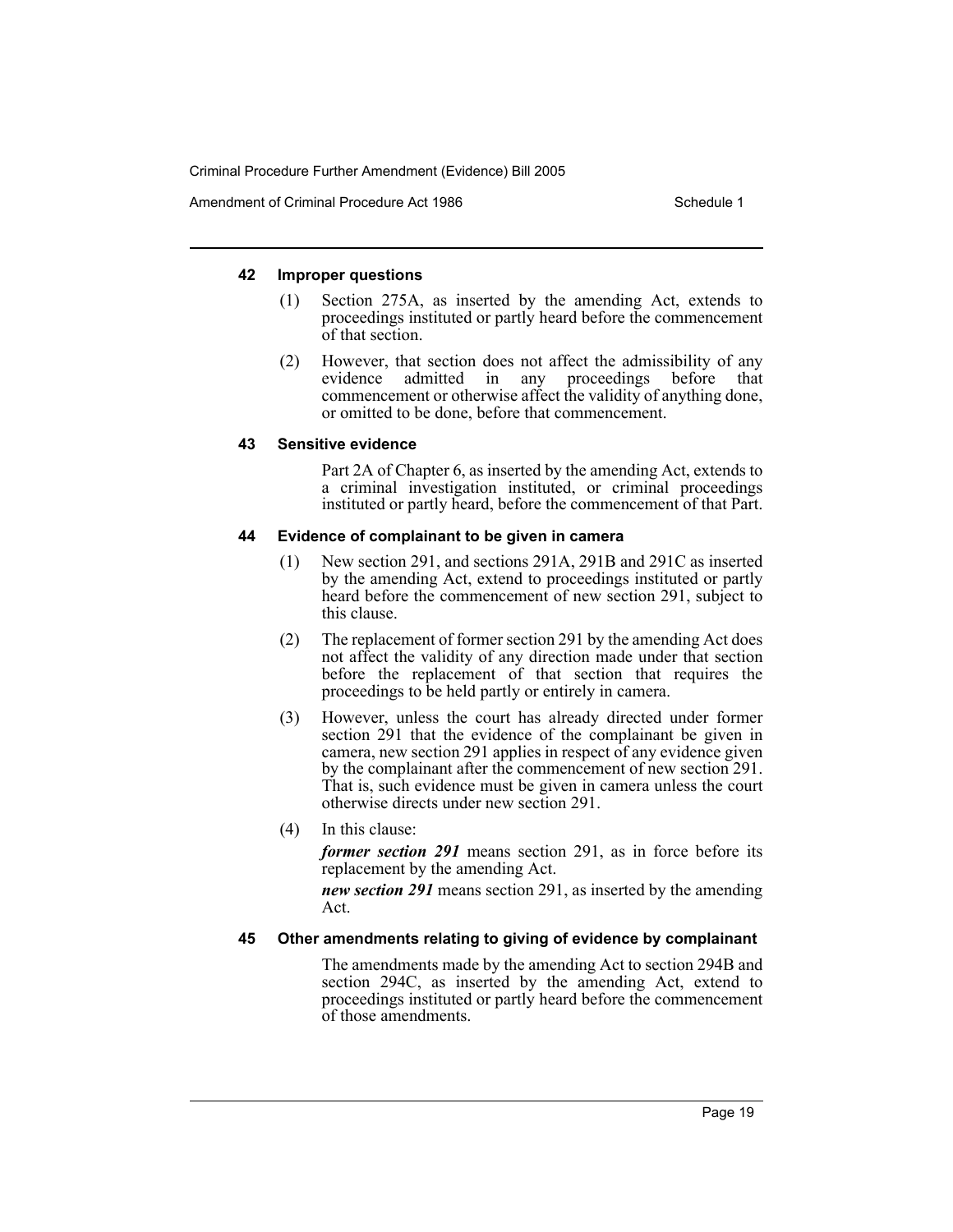# **42 Improper questions**

- (1) Section 275A, as inserted by the amending Act, extends to proceedings instituted or partly heard before the commencement of that section.
- (2) However, that section does not affect the admissibility of any evidence admitted in any proceedings before that any proceedings before that commencement or otherwise affect the validity of anything done, or omitted to be done, before that commencement.

# **43 Sensitive evidence**

Part 2A of Chapter 6, as inserted by the amending Act, extends to a criminal investigation instituted, or criminal proceedings instituted or partly heard, before the commencement of that Part.

# **44 Evidence of complainant to be given in camera**

- (1) New section 291, and sections 291A, 291B and 291C as inserted by the amending Act, extend to proceedings instituted or partly heard before the commencement of new section 291, subject to this clause.
- (2) The replacement of former section 291 by the amending Act does not affect the validity of any direction made under that section before the replacement of that section that requires the proceedings to be held partly or entirely in camera.
- (3) However, unless the court has already directed under former section 291 that the evidence of the complainant be given in camera, new section 291 applies in respect of any evidence given by the complainant after the commencement of new section 291. That is, such evidence must be given in camera unless the court otherwise directs under new section 291.
- (4) In this clause:

*former section 291* means section 291, as in force before its replacement by the amending Act.

*new section 291* means section 291, as inserted by the amending Act.

# **45 Other amendments relating to giving of evidence by complainant**

The amendments made by the amending Act to section 294B and section 294C, as inserted by the amending Act, extend to proceedings instituted or partly heard before the commencement of those amendments.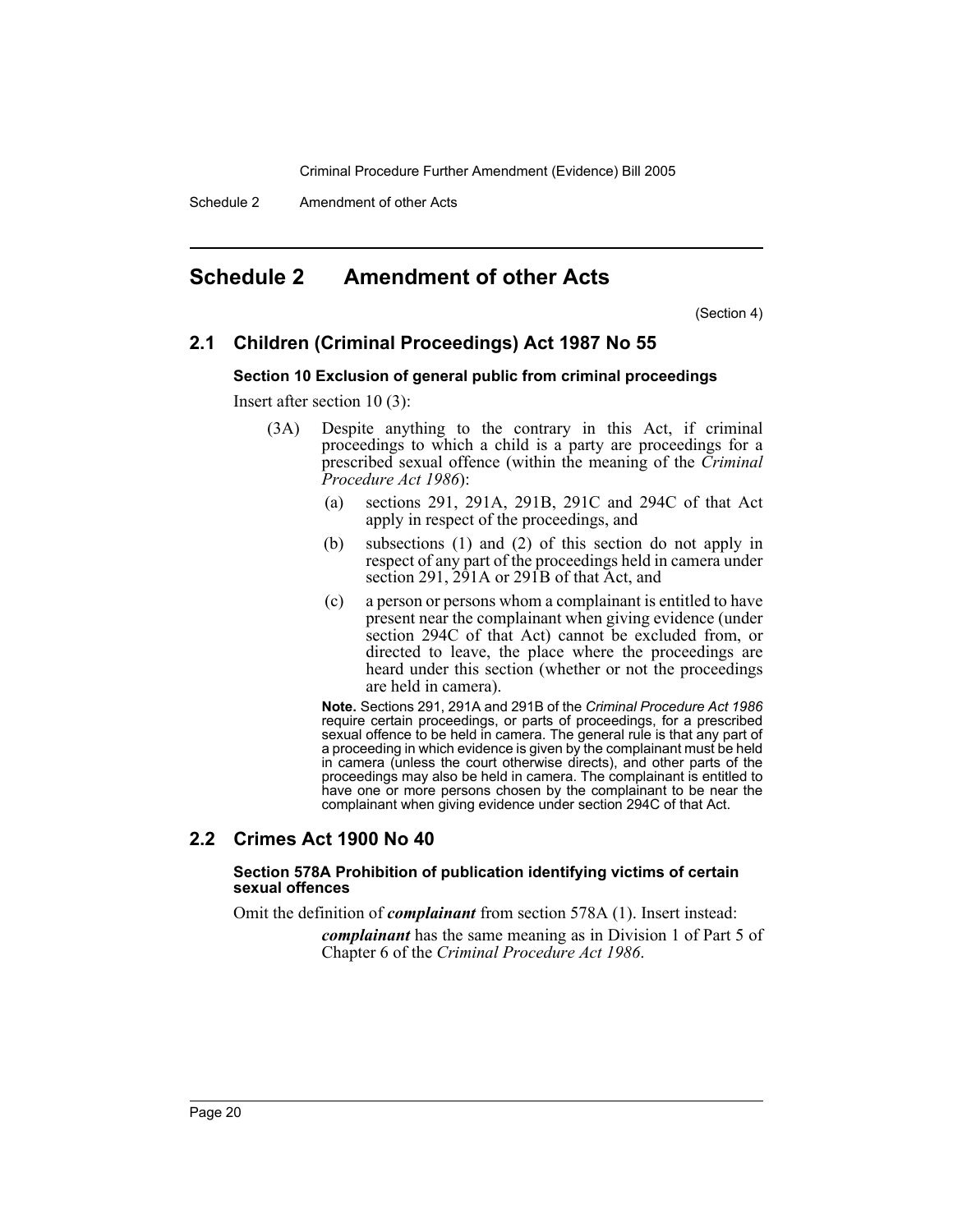Schedule 2 Amendment of other Acts

# <span id="page-20-0"></span>**Schedule 2 Amendment of other Acts**

(Section 4)

# **2.1 Children (Criminal Proceedings) Act 1987 No 55**

#### **Section 10 Exclusion of general public from criminal proceedings**

Insert after section 10 (3):

- (3A) Despite anything to the contrary in this Act, if criminal proceedings to which a child is a party are proceedings for a prescribed sexual offence (within the meaning of the *Criminal Procedure Act 1986*):
	- (a) sections 291, 291A, 291B, 291C and 294C of that Act apply in respect of the proceedings, and
	- (b) subsections (1) and (2) of this section do not apply in respect of any part of the proceedings held in camera under section 291, 291A or 291B of that Act, and
	- (c) a person or persons whom a complainant is entitled to have present near the complainant when giving evidence (under section 294C of that Act) cannot be excluded from, or directed to leave, the place where the proceedings are heard under this section (whether or not the proceedings are held in camera).

**Note.** Sections 291, 291A and 291B of the *Criminal Procedure Act 1986* require certain proceedings, or parts of proceedings, for a prescribed sexual offence to be held in camera. The general rule is that any part of a proceeding in which evidence is given by the complainant must be held in camera (unless the court otherwise directs), and other parts of the proceedings may also be held in camera. The complainant is entitled to have one or more persons chosen by the complainant to be near the complainant when giving evidence under section 294C of that Act.

# **2.2 Crimes Act 1900 No 40**

#### **Section 578A Prohibition of publication identifying victims of certain sexual offences**

Omit the definition of *complainant* from section 578A (1). Insert instead:

*complainant* has the same meaning as in Division 1 of Part 5 of Chapter 6 of the *Criminal Procedure Act 1986*.